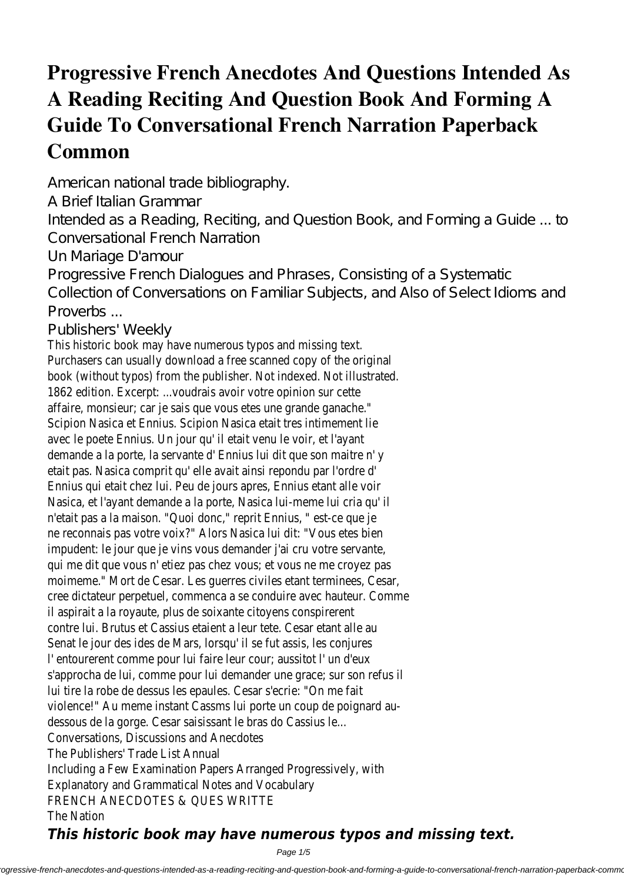## **Progressive French Anecdotes And Questions Intended As A Reading Reciting And Question Book And Forming A Guide To Conversational French Narration Paperback Common**

American national trade bibliography.

A Brief Italian Grammar

Intended as a Reading, Reciting, and Question Book, and Forming a Guide ... to Conversational French Narration

Un Mariage D'amour

Progressive French Dialogues and Phrases, Consisting of a Systematic

Collection of Conversations on Familiar Subjects, and Also of Select Idioms and Proverbs ...

## Publishers' Weekly

This historic book may have numerous typos and missing text. Purchasers can usually download a free scanned copy of the original book (without typos) from the publisher. Not indexed. Not illustrated 1862 edition. Excerpt: ...voudrais avoir votre opinion sur cette affaire, monsieur; car je sais que vous etes une grande ganache." Scipion Nasica et Ennius. Scipion Nasica etait tres intimement lie avec le poete Ennius. Un jour qu'il etait venu le voir, et l'ayan demande a la porte, la servante d' Ennius lui dit que son maitre n' y etait pas. Nasica comprit qu' elle avait ainsi repondu par l'ordre d' Ennius qui etait chez lui. Peu de jours apres, Ennius etant alle voi Nasica, et l'ayant demande a la porte, Nasica lui-meme lui cria qu' il n'etait pas a la maison. "Quoi donc," reprit Ennius, " est-ce que je ne reconnais pas votre voix?" Alors Nasica lui dit: "Vous etes bien impudent: le jour que je vins vous demander j'ai cru votre servante qui me dit que vous n' etiez pas chez vous; et vous ne me croyez pas moimeme." Mort de Cesar. Les querres civiles etant terminees, Cesar, cree dictateur perpetuel, commenca a se conduire avec hauteur. Comme il aspirait a la royaute, plus de soixante citoyens conspirerent contre lui. Brutus et Cassius etaient a leur tete. Cesar etant alle au Senat le jour des ides de Mars, lorsqu' il se fut assis, les conjures l' entourerent comme pour lui faire leur cour; aussitot l' un d'eux s'approcha de lui, comme pour lui demander une grace; sur son refus il lui tire la robe de dessus les epaules. Cesar s'ecrie: "On me fait violence!" Au meme instant Cassms lui porte un coup de poignard audessous de la gorge. Cesar saisissant le bras do Cassius le... Conversations, Discussions and Anecdotes The Publishers' Trade List Annual Including a Few Examination Papers Arranged Progressively, with Explanatory and Grammatical Notes and Vocabulary FRENCH ANECDOTES & QUES WRITT The Nation

## *This historic book may have numerous typos and missing text.*

Page 1/5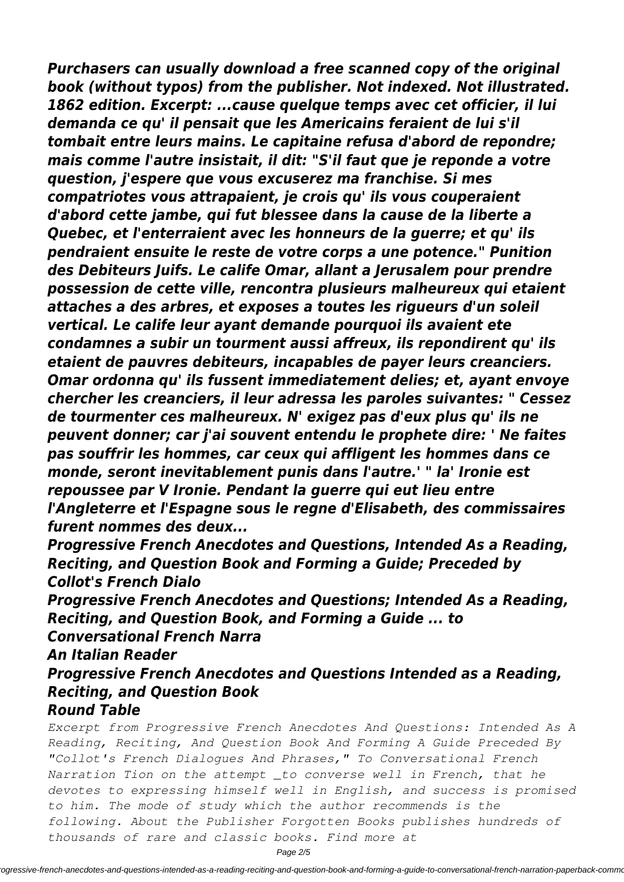*Purchasers can usually download a free scanned copy of the original book (without typos) from the publisher. Not indexed. Not illustrated. 1862 edition. Excerpt: ...cause quelque temps avec cet officier, il lui demanda ce qu' il pensait que les Americains feraient de lui s'il tombait entre leurs mains. Le capitaine refusa d'abord de repondre; mais comme l'autre insistait, il dit: "S'il faut que je reponde a votre question, j'espere que vous excuserez ma franchise. Si mes compatriotes vous attrapaient, je crois qu' ils vous couperaient d'abord cette jambe, qui fut blessee dans la cause de la liberte a Quebec, et l'enterraient avec les honneurs de la guerre; et qu' ils pendraient ensuite le reste de votre corps a une potence." Punition des Debiteurs Juifs. Le calife Omar, allant a Jerusalem pour prendre possession de cette ville, rencontra plusieurs malheureux qui etaient attaches a des arbres, et exposes a toutes les rigueurs d'un soleil vertical. Le calife leur ayant demande pourquoi ils avaient ete condamnes a subir un tourment aussi affreux, ils repondirent qu' ils etaient de pauvres debiteurs, incapables de payer leurs creanciers. Omar ordonna qu' ils fussent immediatement delies; et, ayant envoye chercher les creanciers, il leur adressa les paroles suivantes: " Cessez de tourmenter ces malheureux. N' exigez pas d'eux plus qu' ils ne peuvent donner; car j'ai souvent entendu le prophete dire: ' Ne faites pas souffrir les hommes, car ceux qui affligent les hommes dans ce monde, seront inevitablement punis dans l'autre.' " la' Ironie est repoussee par V Ironie. Pendant la guerre qui eut lieu entre l'Angleterre et l'Espagne sous le regne d'Elisabeth, des commissaires furent nommes des deux...*

*Progressive French Anecdotes and Questions, Intended As a Reading, Reciting, and Question Book and Forming a Guide; Preceded by Collot's French Dialo*

*Progressive French Anecdotes and Questions; Intended As a Reading, Reciting, and Question Book, and Forming a Guide ... to Conversational French Narra*

*An Italian Reader*

*Progressive French Anecdotes and Questions Intended as a Reading, Reciting, and Question Book Round Table*

*Excerpt from Progressive French Anecdotes And Questions: Intended As A Reading, Reciting, And Question Book And Forming A Guide Preceded By "Collot's French Dialogues And Phrases," To Conversational French Narration Tion on the attempt \_to converse well in French, that he devotes to expressing himself well in English, and success is promised to him. The mode of study which the author recommends is the following. About the Publisher Forgotten Books publishes hundreds of thousands of rare and classic books. Find more at*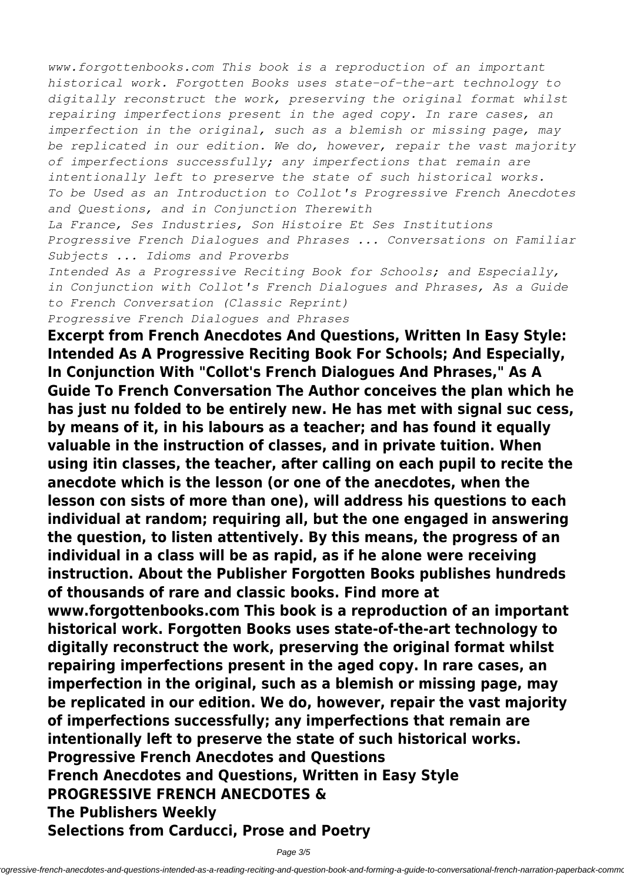*www.forgottenbooks.com This book is a reproduction of an important historical work. Forgotten Books uses state-of-the-art technology to digitally reconstruct the work, preserving the original format whilst repairing imperfections present in the aged copy. In rare cases, an imperfection in the original, such as a blemish or missing page, may be replicated in our edition. We do, however, repair the vast majority of imperfections successfully; any imperfections that remain are intentionally left to preserve the state of such historical works. To be Used as an Introduction to Collot's Progressive French Anecdotes and Questions, and in Conjunction Therewith*

*La France, Ses Industries, Son Histoire Et Ses Institutions Progressive French Dialogues and Phrases ... Conversations on Familiar Subjects ... Idioms and Proverbs*

*Intended As a Progressive Reciting Book for Schools; and Especially, in Conjunction with Collot's French Dialogues and Phrases, As a Guide to French Conversation (Classic Reprint) Progressive French Dialogues and Phrases*

**Excerpt from French Anecdotes And Questions, Written In Easy Style: Intended As A Progressive Reciting Book For Schools; And Especially, In Conjunction With "Collot's French Dialogues And Phrases," As A Guide To French Conversation The Author conceives the plan which he has just nu folded to be entirely new. He has met with signal suc cess, by means of it, in his labours as a teacher; and has found it equally valuable in the instruction of classes, and in private tuition. When using itin classes, the teacher, after calling on each pupil to recite the anecdote which is the lesson (or one of the anecdotes, when the lesson con sists of more than one), will address his questions to each individual at random; requiring all, but the one engaged in answering the question, to listen attentively. By this means, the progress of an individual in a class will be as rapid, as if he alone were receiving instruction. About the Publisher Forgotten Books publishes hundreds of thousands of rare and classic books. Find more at www.forgottenbooks.com This book is a reproduction of an important historical work. Forgotten Books uses state-of-the-art technology to digitally reconstruct the work, preserving the original format whilst repairing imperfections present in the aged copy. In rare cases, an imperfection in the original, such as a blemish or missing page, may be replicated in our edition. We do, however, repair the vast majority**

**of imperfections successfully; any imperfections that remain are intentionally left to preserve the state of such historical works.**

**Progressive French Anecdotes and Questions**

**French Anecdotes and Questions, Written in Easy Style**

## **PROGRESSIVE FRENCH ANECDOTES &**

**The Publishers Weekly**

**Selections from Carducci, Prose and Poetry**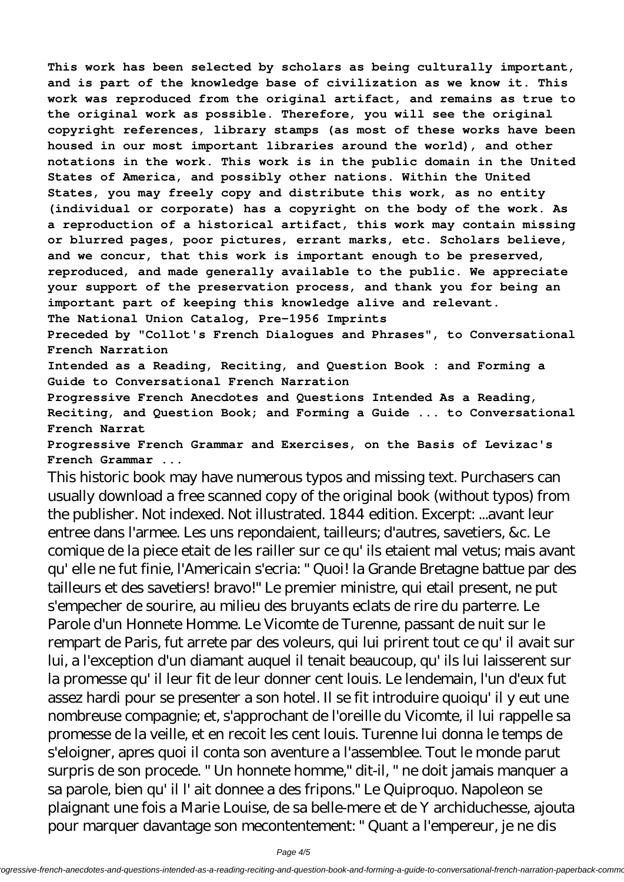**This work has been selected by scholars as being culturally important, and is part of the knowledge base of civilization as we know it. This work was reproduced from the original artifact, and remains as true to the original work as possible. Therefore, you will see the original copyright references, library stamps (as most of these works have been housed in our most important libraries around the world), and other notations in the work. This work is in the public domain in the United States of America, and possibly other nations. Within the United States, you may freely copy and distribute this work, as no entity (individual or corporate) has a copyright on the body of the work. As a reproduction of a historical artifact, this work may contain missing or blurred pages, poor pictures, errant marks, etc. Scholars believe, and we concur, that this work is important enough to be preserved, reproduced, and made generally available to the public. We appreciate your support of the preservation process, and thank you for being an important part of keeping this knowledge alive and relevant.**

**The National Union Catalog, Pre-1956 Imprints**

**Preceded by "Collot's French Dialogues and Phrases", to Conversational French Narration**

**Intended as a Reading, Reciting, and Question Book : and Forming a Guide to Conversational French Narration**

**Progressive French Anecdotes and Questions Intended As a Reading, Reciting, and Question Book; and Forming a Guide ... to Conversational French Narrat**

**Progressive French Grammar and Exercises, on the Basis of Levizac's French Grammar ...**

This historic book may have numerous typos and missing text. Purchasers can usually download a free scanned copy of the original book (without typos) from the publisher. Not indexed. Not illustrated. 1844 edition. Excerpt: ...avant leur entree dans l'armee. Les uns repondaient, tailleurs; d'autres, savetiers, &c. Le comique de la piece etait de les railler sur ce qu' ils etaient mal vetus; mais avant qu' elle ne fut finie, l'Americain s'ecria: " Quoi! la Grande Bretagne battue par des tailleurs et des savetiers! bravo!" Le premier ministre, qui etail present, ne put s'empecher de sourire, au milieu des bruyants eclats de rire du parterre. Le Parole d'un Honnete Homme. Le Vicomte de Turenne, passant de nuit sur le rempart de Paris, fut arrete par des voleurs, qui lui prirent tout ce qu' il avait sur lui, a l'exception d'un diamant auquel il tenait beaucoup, qu' ils lui laisserent sur la promesse qu' il leur fit de leur donner cent louis. Le lendemain, l'un d'eux fut assez hardi pour se presenter a son hotel. Il se fit introduire quoiqu' il y eut une nombreuse compagnie; et, s'approchant de l'oreille du Vicomte, il lui rappelle sa promesse de la veille, et en recoit les cent louis. Turenne lui donna le temps de s'eloigner, apres quoi il conta son aventure a l'assemblee. Tout le monde parut surpris de son procede. " Un honnete homme," dit-il, " ne doit jamais manquer a sa parole, bien qu' il l' ait donnee a des fripons." Le Quiproquo. Napoleon se plaignant une fois a Marie Louise, de sa belle-mere et de Y archiduchesse, ajouta pour marquer davantage son mecontentement: " Quant a l'empereur, je ne dis